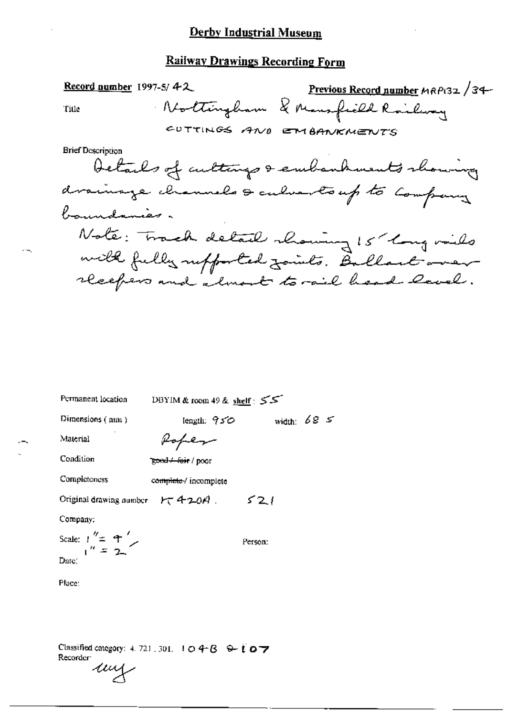#### **Railway Drawings Recording Form**

Record number  $1997-5/42$ Previous Record number MRP132 /34-Nottingham & Mansfield Railway Title CUTTINGS AND EMBANKMENTS **Brief Description** Details of culturys & embanhments showing drainage channels & culvertoup to Company boundaries. Note: Track detail showing 15 long miles with fully supported faints. Ballactower

Š.

| Permanent location                      | DBYIM & room 49 & shelf: 55 |             |
|-----------------------------------------|-----------------------------|-------------|
| Dimensions $(mn)$                       | length. 950                 | width: $68$ |
| Material                                | Rober                       |             |
| Condition                               | zond + fair / poor          |             |
| Completeness                            | complete / incomplete       |             |
| Original drawing number $H \to 4-20A$ . |                             | 521         |
| Company:                                |                             |             |
| Scale: $1'' = 4$                        |                             | Ferson:     |
| Date:                                   |                             |             |
| Place:                                  |                             |             |

Classified category: 4, 721, 301, 1  $\bigcirc$  4- $\bigcirc$   $\bigcirc$   $\bigcirc$   $\bigcirc$   $\bigcirc$ Recorder: ung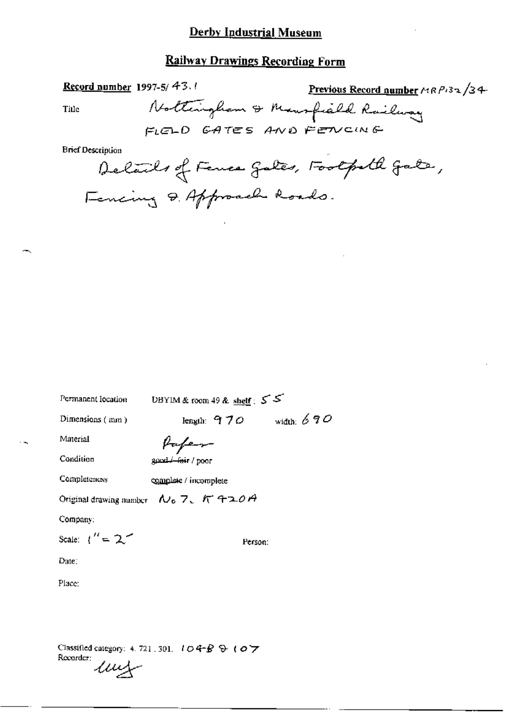## **Railway Drawings Recording Form**

Title

Previous Record number MRP132/34 Record number 1997-5/ $43.0$ Nottingham & Maurfield Railway FLELD GATES AND FENCING

**Brief Description** 

Delails of Fence gales, Footpoll gate, Fencing & Approach Roads.

| Permanent location    | UBYIM & room 49 & shelf : $55$            |              |
|-----------------------|-------------------------------------------|--------------|
| Dimensions (mm)       | length: $970$                             | width: $690$ |
| Material              | fufen-                                    |              |
| Condition             | good / fair / poor                        |              |
| Completeness          | complete / incomplete                     |              |
|                       | Original drawing number $N_0$ 7, $K$ 420A |              |
| Company:              |                                           |              |
| Scale: $1'' = 2^{-1}$ | Person:                                   |              |
| $\rm{Date}$ :         |                                           |              |
| Place:                |                                           |              |
|                       |                                           |              |
|                       |                                           |              |

Classified category: 4, 721, 301, 104-B & 107 Recorder:  $\mu$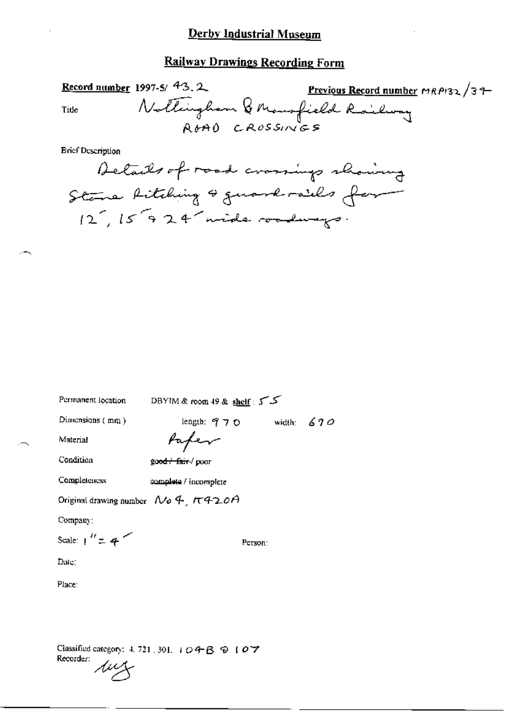Record number 1997-5/ $43.2$ Previous Record number MRP132/39-Nothingham & Mansfield Railway Title ROAD CROSSINGS

**Brief Description** 



Permanent location

DBYIM & room 49 & shelf: 5

Dimensions  $(mn)$ 

length:  $970$ width:  $670$ 

Material

Paper

Condition

good fair / poor

Completeness complete / incomplete

Original drawing number  $N_0$  4,  $\pi$ 420A

Company:

Scale:  $1'' = 4$ 

Person:

Date:

Place:

Classified category: 4, 721, 301, ii Q 午 B 9 1 0 7 Recorder: My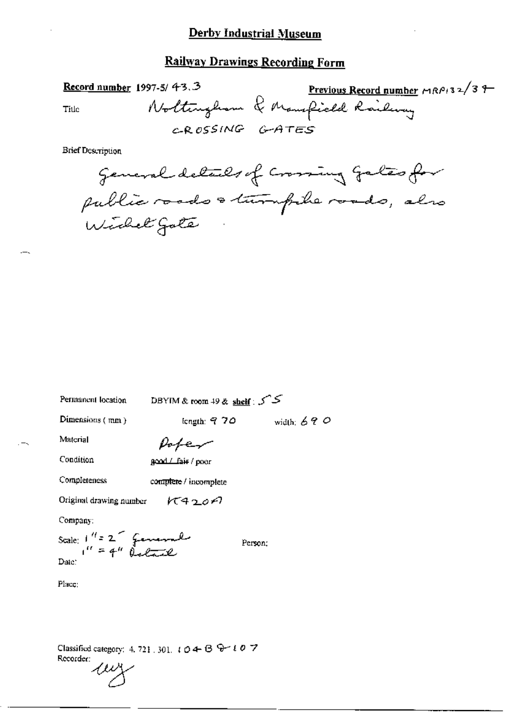Title

97-5/43.3 Previous Record number MRP132/37

CROSSING GATES

**Brief Description** 

Record number 1997-5/ 43.3

| Permanent location | DBYIM & room 49 & shelf : S |
|--------------------|-----------------------------|
|--------------------|-----------------------------|

Dimensions (mm)

length:  $970$  width:  $690$ 

Person:

Material

 $p_{of}$ 

Condition

good / fair / poor

Completeness complete / incomplete

Original drawing number  $K420A$ 

Company:

Scale:  $1^{\prime\prime}$  = 2 fevrewal Date:

Place:

Classified category: 4, 721, 301,  $t \circ 4 - \circ 6 + t \circ 7$ Recorder:

my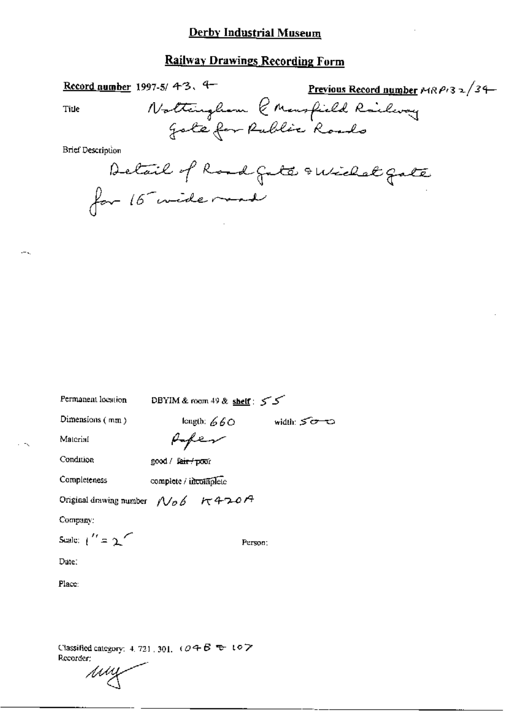# **Railway Drawings Recording Form**

| Record number 1997-5/43.         | <u>Previous Record number</u> $MRP/32/34$               |
|----------------------------------|---------------------------------------------------------|
| Ti⊔e                             |                                                         |
|                                  | Nottinghom & Monsfield Railway<br>Jote for Rublic Roads |
| Brief Description                |                                                         |
| Detail of Road gate swichel gate |                                                         |
| for 16 wide mod                  |                                                         |

Permanent location

DBYIM & room 49 & shelf: 55

Dimensions  $(mn)$ 

length:  $660$  width:  $500$ 

Material

good / fair / poor

Condition

Completeness complete / incomplete

Original drawing number  $N_{\theta}$  6  $\pi$  420A

Company:

Scale:  $\binom{r}{r}$  = 2

Person;

Date:

Place:

Classified category: 4, 721, 301,  $(0.4B + 0.7$ Recorder:

my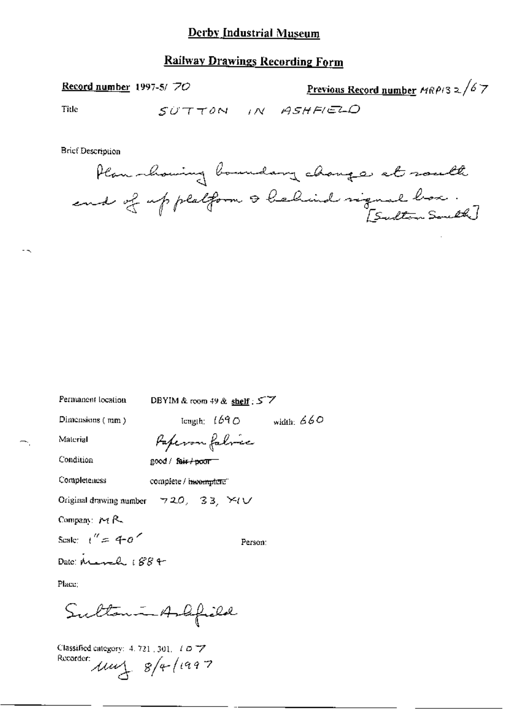## **Railway Drawings Recording Form**

Record number 1997-5/70

<u>Previous Record number</u>  $MRP/3 \ge \sqrt{67}$ 

Title

SUTTON IN ASHFIELD

**Brief Description** 



| Permanent location                                           | DBYIM & room $49$ & shelf: $57$     |              |
|--------------------------------------------------------------|-------------------------------------|--------------|
| Dimensions (mm)                                              | $\textrm{length:}$ $1690$           | width: $660$ |
| Material                                                     | Paperon fabric                      |              |
| Condition                                                    | good / fair / poor                  |              |
| Completeness                                                 | complete / i <del>ncomplete</del> " |              |
| Original drawing number $\forall$ 20, 33, $\forall$ ( $\cup$ |                                     |              |
| Company: $M R$                                               |                                     |              |
| Scale: $t'' = 40$                                            | Person:                             |              |
| Date: March 1884                                             |                                     |              |
| Planc:                                                       |                                     |              |
| Sultan - Ashfild                                             |                                     |              |

Classified category: 4, 721, 301, 1 077 Recorder:  $\mu u$  8/4/1997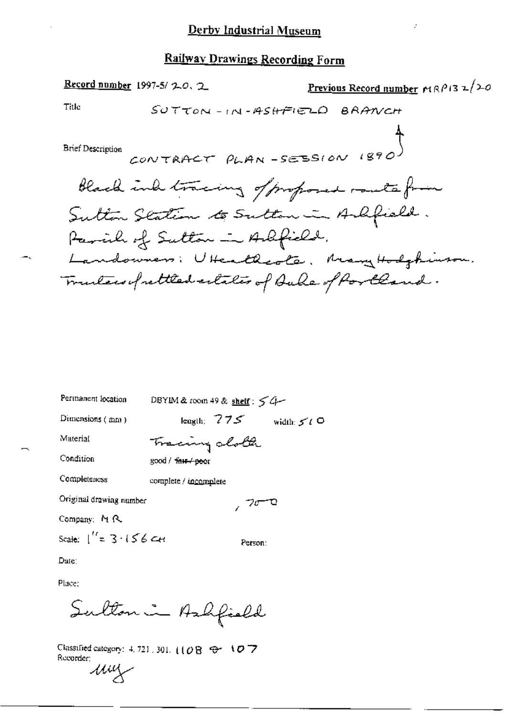Previous Record number  $r(\mathcal{R}^p)$  3  $\mathbb{Z}/20$ Record number 1997-5/20.2 Title SUTTON-IN-ASHFIELD BRANCH CONTRACT PLAN -SESSION 1890 **Brief Description** black ind tracing of proposed route from Sutton Station to Sutton in Ashfield. Parcile of Sutton in Adfield. Landowners: UHeathcota, Many Hodghiuson. Trunters of rettled estates of Bule of Portland.

| Permanent location                     | DBYIM & room 49 & shelf: $54$                  |
|----------------------------------------|------------------------------------------------|
| Dimensions $(mn)$                      | length: $775$<br>width: $5^{\prime}$ ( $\circ$ |
| Material                               | Tracing oboth                                  |
| Condition                              | good / <del>fair / po</del> or                 |
| Completeness                           | complete / incomplete                          |
| Original drawing number                | 700                                            |
| Company: M R.                          |                                                |
| Scale: $\int_{0}^{t} = 3 \cdot 156$ CH | Person:                                        |
| Dura:                                  |                                                |

Dule)

Place:

Sulton in Ashfield

Classified category: 4, 721, 301, (108 @ 107 Recorder: um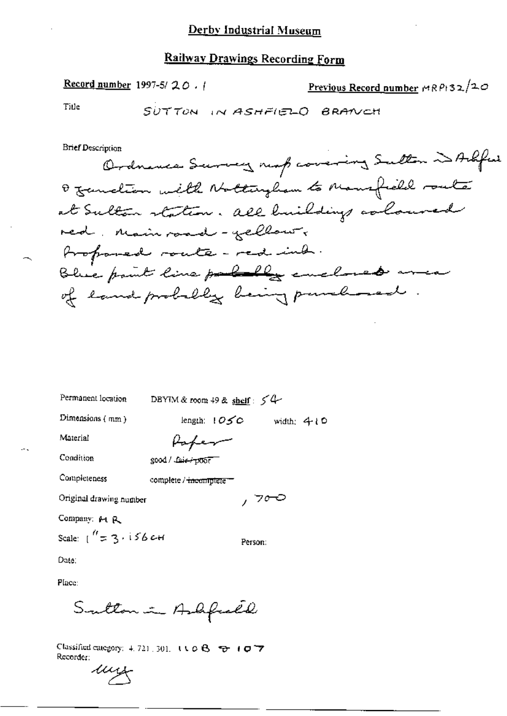Record number 1997-5/ $20.1$ 

Previous Record number  $\triangle R$  P+32/20

Title

SUTTON IN ASHFIELD BRANCH

**Brief Description** 

DBYIM & room 49 & shelf:  $54$ Permanent location

Dimensions (mm)

length:  $105C$  width: 410

Material

Paper

complete / incomplete =

Condition

Completeness

good / Laie+poor

Original drawing number

Company: M R

Scale:  $1'' = 3.156$  CH

Person:

, 700

Date:

Place:

Sutton in Ashfreed

Classified category: 4, 721, 301,  $(10.6 - 7)$ Recorder:

un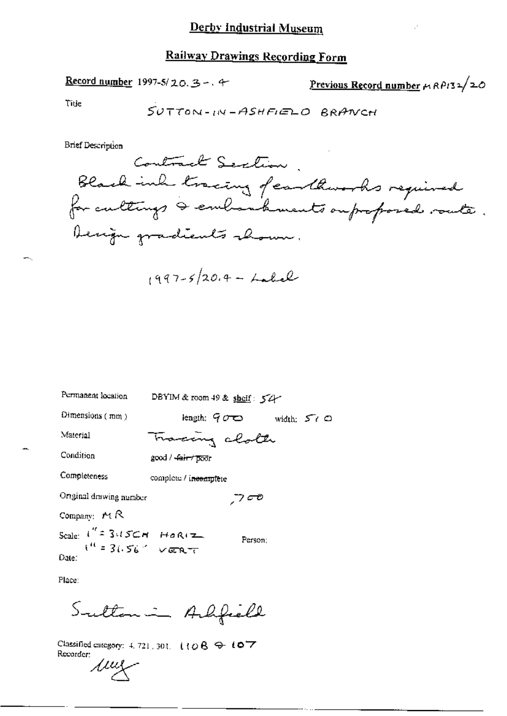Record number 1997-5/20.3 -. 4

Previous Record number  $\mu$  RP132/20

Title

∽.,

$$
\mathit{SUTTON-IN-ASHEIED} \quad BRANCH
$$

**Brief Description** 

$$
1997-5/20.4 - Lalel
$$

| Permanent location          | DBYIM & room 49 & shelf: $54$      |
|-----------------------------|------------------------------------|
| Dimensions $(mm)$           | length: 900<br>width: $57^\circ$ O |
| Material                    | Tracing cloth                      |
| Condition                   | good / <del>fair / poo</del> r     |
| Completeness                | complete / incomplete              |
| Onginal drawing number      | ه ج                                |
| Company: $M \, R$           |                                    |
| Scale: $i'' = 3.15CM$ HORIZ | Person:                            |
| Date:                       |                                    |

Place:

Sultan in Alfield

Classified category: 4, 721, 301,  $110B + 107$ Recorder: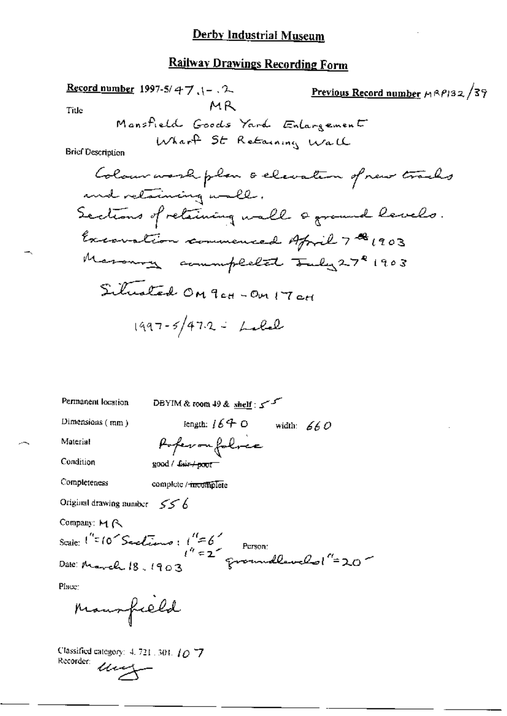Condition

Completeness

complete / meomplete

good / fair / poor

Original drawing number  $556$ 

Company: MR

Scale:  $1'' = 10^\circ$  Sactions:  $1'' = 6^\circ$ <br>Person:<br>Date: the 10 18 1902 Fromudlavelol (=20 Date: March 18, 1903

 $\mathcal{L}$ 

Place:

Mansfield

Classimos Classified category: 4, 721, 301, 10-7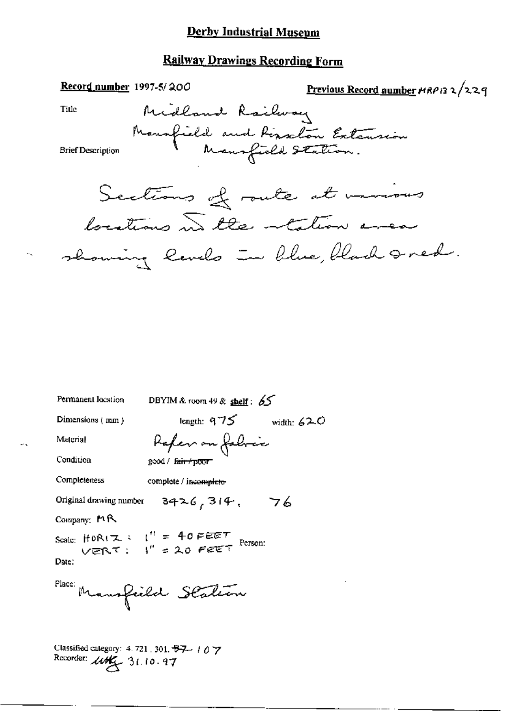#### **Railway Drawings Recording Form**

Record number 1997-5/200 Previous Record number MRP132/229 Midland Railway Title Mounfield and Rissalon Extension **Brief Description** Sections of route at namous locations in the tation area showing levels in blue, black seed. Permanent location DBYIM & room 49 & shelf:  $65$ length:  $975$  width:  $620$ Dimensions (mm) Rafer on Jabric Material Condition good / fair / poor Completeness complete / incomplete- $3426,314,76$ Original drawing number Company: MR Scale: HORIZ :  $I'' = 40$  PEET<br>VERT :  $I'' = 20$  PEET Person: Date: Place: Mansfield Station Classified category: 4.721, 301, 87-107

Recorder: *Live* 31.10.97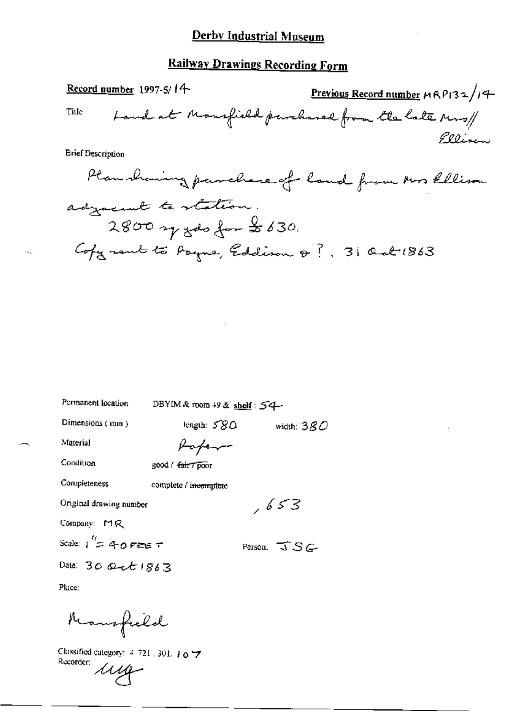Record number 1997-5/ $14$ Previous Record number  $MRP/32/14$ Land at Mansfield purchased from the late Mrs/ Title Pllizan **Brief Description** Plan showing parallese of land from Mrs Ellison adjacent to station.  $2800$  y got for  $2630$ Cofyrent to Payne, Eddison @ ?. 31 Oct 1863

Permanent location

DBYIM & room 49 & shelf: 54

Dimensions (mm)

length: 580 width:  $380$ 

, 653

Material

Paper good / fair 7 poor

Completeness

Condition

complete / incomplete

Original drawing number

Company: MR

Scale:  $1'' = 40$  Fee T

Date:  $30$  Oct  $1863$ 

Person:  $\overline{J} S G$ 

Place:

Mansfeeld

Classified category:  $4-721$ , 301,  $10\frac{1}{2}$ Rucorder: 1114